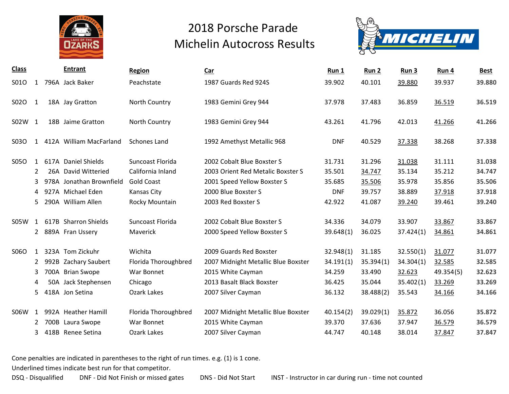



| <b>Class</b> |              |      | <b>Entrant</b>           | Region               | Car                                 | Run 1      | Run 2     | Run 3     | Run 4     | Best   |
|--------------|--------------|------|--------------------------|----------------------|-------------------------------------|------------|-----------|-----------|-----------|--------|
| S010         | 1            |      | 796A Jack Baker          | Peachstate           | 1987 Guards Red 924S                | 39.902     | 40.101    | 39.880    | 39.937    | 39.880 |
| S02O         | 1            |      | 18A Jay Gratton          | North Country        | 1983 Gemini Grey 944                | 37.978     | 37.483    | 36.859    | 36.519    | 36.519 |
| S02W 1       |              |      | 18B Jaime Gratton        | North Country        | 1983 Gemini Grey 944                | 43.261     | 41.796    | 42.013    | 41.266    | 41.266 |
| S030         | 1            |      | 412A William MacFarland  | Schones Land         | 1992 Amethyst Metallic 968          | <b>DNF</b> | 40.529    | 37.338    | 38.268    | 37.338 |
| S050         | $\mathbf{1}$ |      | 617A Daniel Shields      | Suncoast Florida     | 2002 Cobalt Blue Boxster S          | 31.731     | 31.296    | 31.038    | 31.111    | 31.038 |
|              | 2            |      | 26A David Witteried      | California Inland    | 2003 Orient Red Metalic Boxster S   | 35.501     | 34.747    | 35.134    | 35.212    | 34.747 |
|              | 3            |      | 978A Jonathan Brownfield | <b>Gold Coast</b>    | 2001 Speed Yellow Boxster S         | 35.685     | 35.506    | 35.978    | 35.856    | 35.506 |
|              | 4            |      | 927A Michael Eden        | <b>Kansas City</b>   | 2000 Blue Boxster S                 | <b>DNF</b> | 39.757    | 38.889    | 37.918    | 37.918 |
|              | 5            |      | 290A William Allen       | Rocky Mountain       | 2003 Red Boxster S                  | 42.922     | 41.087    | 39.240    | 39.461    | 39.240 |
| S05W         | 1            |      | 617B Sharron Shields     | Suncoast Florida     | 2002 Cobalt Blue Boxster S          | 34.336     | 34.079    | 33.907    | 33.867    | 33.867 |
|              |              |      | 2 889A Fran Ussery       | Maverick             | 2000 Speed Yellow Boxster S         | 39.648(1)  | 36.025    | 37.424(1) | 34.861    | 34.861 |
| S06O         | $\mathbf{1}$ |      | 323A Tom Zickuhr         | Wichita              | 2009 Guards Red Boxster             | 32.948(1)  | 31.185    | 32.550(1) | 31.077    | 31.077 |
|              | 2            |      | 992B Zachary Saubert     | Florida Thoroughbred | 2007 Midnight Metallic Blue Boxster | 34.191(1)  | 35.394(1) | 34.304(1) | 32.585    | 32.585 |
|              | 3            |      | 700A Brian Swope         | War Bonnet           | 2015 White Cayman                   | 34.259     | 33.490    | 32.623    | 49.354(5) | 32.623 |
|              | 4            |      | 50A Jack Stephensen      | Chicago              | 2013 Basalt Black Boxster           | 36.425     | 35.044    | 35.402(1) | 33.269    | 33.269 |
|              | 5.           |      | 418A Jon Setina          | Ozark Lakes          | 2007 Silver Cayman                  | 36.132     | 38.488(2) | 35.543    | 34.166    | 34.166 |
| S06W         | 1            |      | 992A Heather Hamill      | Florida Thoroughbred | 2007 Midnight Metallic Blue Boxster | 40.154(2)  | 39.029(1) | 35.872    | 36.056    | 35.872 |
|              | 2            | 700B | Laura Swope              | War Bonnet           | 2015 White Cayman                   | 39.370     | 37.636    | 37.947    | 36.579    | 36.579 |
|              | 3            |      | 418B Renee Setina        | Ozark Lakes          | 2007 Silver Cayman                  | 44.747     | 40.148    | 38.014    | 37.847    | 37.847 |

Cone penalties are indicated in parentheses to the right of run times. e.g. (1) is 1 cone.

Underlined times indicate best run for that competitor.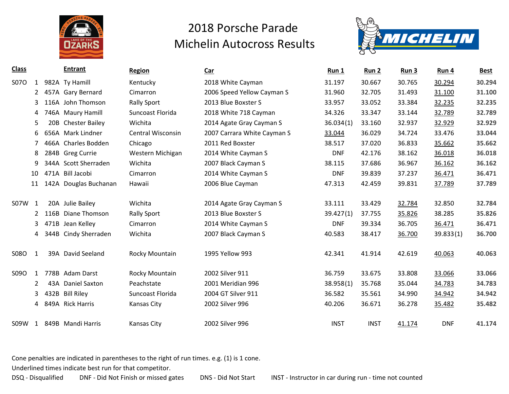



| <b>Class</b>     |      | <b>Entrant</b>        | Region                   | <b>Car</b>                  | Run 1       | Run 2       | Run 3  | Run 4      | <b>Best</b> |
|------------------|------|-----------------------|--------------------------|-----------------------------|-------------|-------------|--------|------------|-------------|
| <b>S07O</b><br>1 |      | 982A Ty Hamill        | Kentucky                 | 2018 White Cayman           | 31.197      | 30.667      | 30.765 | 30.294     | 30.294      |
| $\overline{2}$   |      | 457A Gary Bernard     | Cimarron                 | 2006 Speed Yellow Cayman S  | 31.960      | 32.705      | 31.493 | 31.100     | 31.100      |
| 3                |      | 116A John Thomson     | <b>Rally Sport</b>       | 2013 Blue Boxster S         | 33.957      | 33.052      | 33.384 | 32.235     | 32.235      |
| 4                |      | 746A Maury Hamill     | Suncoast Florida         | 2018 White 718 Cayman       | 34.326      | 33.347      | 33.144 | 32.789     | 32.789      |
| 5                |      | 20B Chester Bailey    | Wichita                  | 2014 Agate Gray Cayman S    | 36.034(1)   | 33.160      | 32.937 | 32.929     | 32.929      |
| 6                |      | 656A Mark Lindner     | <b>Central Wisconsin</b> | 2007 Carrara White Cayman S | 33.044      | 36.029      | 34.724 | 33.476     | 33.044      |
| 7                |      | 466A Charles Bodden   | Chicago                  | 2011 Red Boxster            | 38.517      | 37.020      | 36.833 | 35.662     | 35.662      |
| 8                |      | 284B Greg Currie      | Western Michigan         | 2014 White Cayman S         | <b>DNF</b>  | 42.176      | 38.162 | 36.018     | 36.018      |
| 9                |      | 344A Scott Sherraden  | Wichita                  | 2007 Black Cayman S         | 38.115      | 37.686      | 36.967 | 36.162     | 36.162      |
| 10               | 471A | Bill Jacobi           | Cimarron                 | 2014 White Cayman S         | <b>DNF</b>  | 39.839      | 37.237 | 36.471     | 36.471      |
| 11               |      | 142A Douglas Buchanan | Hawaii                   | 2006 Blue Cayman            | 47.313      | 42.459      | 39.831 | 37.789     | 37.789      |
|                  |      |                       |                          |                             |             |             |        |            |             |
| S07W<br>1        |      | 20A Julie Bailey      | Wichita                  | 2014 Agate Gray Cayman S    | 33.111      | 33.429      | 32.784 | 32.850     | 32.784      |
| $\overline{2}$   | 116B | Diane Thomson         | <b>Rally Sport</b>       | 2013 Blue Boxster S         | 39.427(1)   | 37.755      | 35.826 | 38.285     | 35.826      |
| 3                |      | 471B Jean Kelley      | Cimarron                 | 2014 White Cayman S         | <b>DNF</b>  | 39.334      | 36.705 | 36.471     | 36.471      |
| 4                | 344B | Cindy Sherraden       | Wichita                  | 2007 Black Cayman S         | 40.583      | 38.417      | 36.700 | 39.833(1)  | 36.700      |
|                  |      |                       |                          |                             |             |             |        |            |             |
| <b>S08O</b><br>1 |      | 39A David Seeland     | Rocky Mountain           | 1995 Yellow 993             | 42.341      | 41.914      | 42.619 | 40.063     | 40.063      |
|                  |      |                       |                          |                             |             |             |        |            |             |
| S09O<br>1        |      | 778B Adam Darst       | Rocky Mountain           | 2002 Silver 911             | 36.759      | 33.675      | 33.808 | 33.066     | 33.066      |
| $\overline{2}$   |      | 43A Daniel Saxton     | Peachstate               | 2001 Meridian 996           | 38.958(1)   | 35.768      | 35.044 | 34.783     | 34.783      |
| 3                | 432B | <b>Bill Riley</b>     | Suncoast Florida         | 2004 GT Silver 911          | 36.582      | 35.561      | 34.990 | 34.942     | 34.942      |
| 4                |      | 849A Rick Harris      | Kansas City              | 2002 Silver 996             | 40.206      | 36.671      | 36.278 | 35.482     | 35.482      |
|                  |      |                       |                          |                             |             |             |        |            |             |
| S09W<br>1        |      | 849B Mandi Harris     | Kansas City              | 2002 Silver 996             | <b>INST</b> | <b>INST</b> | 41.174 | <b>DNF</b> | 41.174      |

Cone penalties are indicated in parentheses to the right of run times. e.g. (1) is 1 cone.

Underlined times indicate best run for that competitor.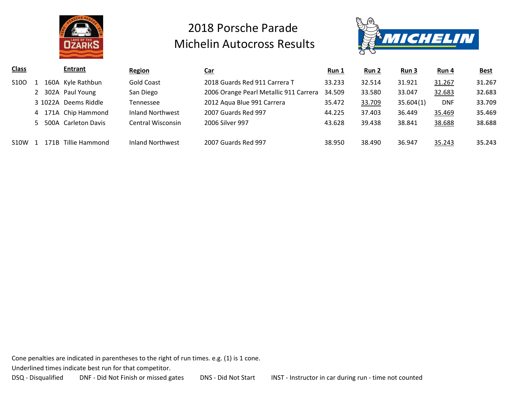



| <b>Class</b>      |   |      | <b>Entrant</b>        | <b>Region</b>     | <u>Car</u>                             | <u>Run 1</u> | <u>Run 2</u> | Run <sub>3</sub> | <u>Run 4</u> | <b>Best</b> |
|-------------------|---|------|-----------------------|-------------------|----------------------------------------|--------------|--------------|------------------|--------------|-------------|
| S <sub>10</sub> O |   |      | 160A Kyle Rathbun     | <b>Gold Coast</b> | 2018 Guards Red 911 Carrera T          | 33.233       | 32.514       | 31.921           | 31.267       | 31.267      |
|                   |   |      | 302A Paul Young       | San Diego         | 2006 Orange Pearl Metallic 911 Carrera | 34.509       | 33.580       | 33.047           | 32.683       | 32.683      |
|                   |   |      | 3 1022A Deems Riddle  | Tennessee         | 2012 Aqua Blue 991 Carrera             | 35.472       | 33.709       | 35.604(1)        | <b>DNF</b>   | 33.709      |
|                   | 4 |      | 171A Chip Hammond     | Inland Northwest  | 2007 Guards Red 997                    | 44.225       | 37.403       | 36.449           | 35.469       | 35.469      |
|                   |   |      | 5 500A Carleton Davis | Central Wisconsin | 2006 Silver 997                        | 43.628       | 39.438       | 38.841           | 38.688       | 38.688      |
|                   |   |      |                       |                   |                                        |              |              |                  |              |             |
| <b>S10W</b>       |   | 171B | Tillie Hammond        | Inland Northwest  | 2007 Guards Red 997                    | 38.950       | 38.490       | 36.947           | 35.243       | 35.243      |

Cone penalties are indicated in parentheses to the right of run times. e.g. (1) is 1 cone.

Underlined times indicate best run for that competitor.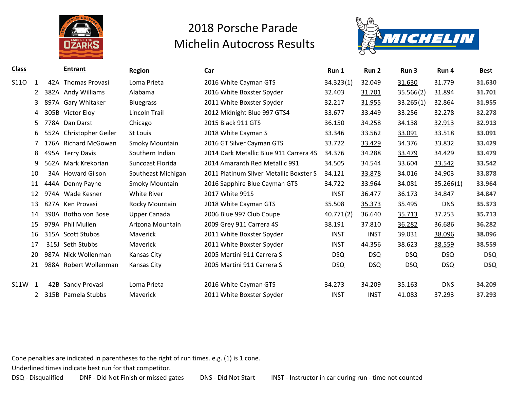



| <b>Class</b>     |      | <b>Entrant</b>          | <b>Region</b>         | <b>Car</b>                              | <b>Run 1</b> | <u>Run 2</u> | <u>Run 3</u> | Run 4      | <b>Best</b> |
|------------------|------|-------------------------|-----------------------|-----------------------------------------|--------------|--------------|--------------|------------|-------------|
| <b>S110</b><br>1 |      | 42A Thomas Provasi      | Loma Prieta           | 2016 White Cayman GTS                   | 34.323(1)    | 32.049       | 31.630       | 31.779     | 31.630      |
|                  |      | 382A Andy Williams      | Alabama               | 2016 White Boxster Spyder               | 32.403       | 31.701       | 35.566(2)    | 31.894     | 31.701      |
| 3                | 897A | <b>Gary Whitaker</b>    | <b>Bluegrass</b>      | 2011 White Boxster Spyder               | 32.217       | 31.955       | 33.265(1)    | 32.864     | 31.955      |
| 4                |      | 305B Victor Eloy        | Lincoln Trail         | 2012 Midnight Blue 997 GTS4             | 33.677       | 33.449       | 33.256       | 32.278     | 32.278      |
| 5.               |      | 778A Dan Darst          | Chicago               | 2015 Black 911 GTS                      | 36.150       | 34.258       | 34.138       | 32.913     | 32.913      |
| 6.               |      | 552A Christopher Geiler | St Louis              | 2018 White Cayman S                     | 33.346       | 33.562       | 33.091       | 33.518     | 33.091      |
|                  |      | 176A Richard McGowan    | <b>Smoky Mountain</b> | 2016 GT Silver Cayman GTS               | 33.722       | 33.429       | 34.376       | 33.832     | 33.429      |
| 8                |      | 495A Terry Davis        | Southern Indian       | 2014 Dark Metallic Blue 911 Carrera 4S  | 34.376       | 34.288       | 33.479       | 34.429     | 33.479      |
| 9                |      | 562A Mark Krekorian     | Suncoast Florida      | 2014 Amaranth Red Metallic 991          | 34.505       | 34.544       | 33.604       | 33.542     | 33.542      |
| 10               |      | 34A Howard Gilson       | Southeast Michigan    | 2011 Platinum Silver Metallic Boxster S | 34.121       | 33.878       | 34.016       | 34.903     | 33.878      |
| 11               |      | 444A Denny Payne        | <b>Smoky Mountain</b> | 2016 Sapphire Blue Cayman GTS           | 34.722       | 33.964       | 34.081       | 35.266(1)  | 33.964      |
| 12               |      | 974A Wade Kesner        | White River           | 2017 White 991S                         | <b>INST</b>  | 36.477       | 36.173       | 34.847     | 34.847      |
| 13               |      | 827A Ken Provasi        | Rocky Mountain        | 2018 White Cayman GTS                   | 35.508       | 35.373       | 35.495       | <b>DNS</b> | 35.373      |
| 14               |      | 390A Botho von Bose     | Upper Canada          | 2006 Blue 997 Club Coupe                | 40.771(2)    | 36.640       | 35.713       | 37.253     | 35.713      |
| 15               |      | 979A Phil Mullen        | Arizona Mountain      | 2009 Grey 911 Carrera 4S                | 38.191       | 37.810       | 36.282       | 36.686     | 36.282      |
| 16               |      | 315A Scott Stubbs       | Maverick              | 2011 White Boxster Spyder               | <b>INST</b>  | <b>INST</b>  | 39.031       | 38.096     | 38.096      |
| 17               |      | 315J Seth Stubbs        | Maverick              | 2011 White Boxster Spyder               | <b>INST</b>  | 44.356       | 38.623       | 38.559     | 38.559      |
| 20               |      | 987A Nick Wollenman     | Kansas City           | 2005 Martini 911 Carrera S              | <u>DSQ</u>   | <u>DSQ</u>   | DSQ          | <u>DSQ</u> | <b>DSQ</b>  |
| 21               |      | 988A Robert Wollenman   | Kansas City           | 2005 Martini 911 Carrera S              | DSQ          | DSQ          | <b>DSQ</b>   | DSQ        | <b>DSQ</b>  |
| S11W<br>-1       | 42B  | Sandy Provasi           | Loma Prieta           | 2016 White Cayman GTS                   | 34.273       | 34.209       | 35.163       | <b>DNS</b> | 34.209      |
| 2                | 315B | Pamela Stubbs           | Maverick              | 2011 White Boxster Spyder               | <b>INST</b>  | <b>INST</b>  | 41.083       | 37.293     | 37.293      |

Cone penalties are indicated in parentheses to the right of run times. e.g. (1) is 1 cone.

Underlined times indicate best run for that competitor.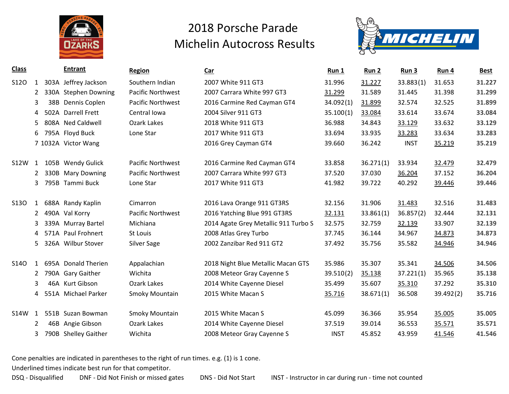



| <b>Class</b> |                |      | <b>Entrant</b>       | <b>Region</b>            | Car                                  | Run 1       | Run 2     | Run 3       | Run 4     | <b>Best</b> |
|--------------|----------------|------|----------------------|--------------------------|--------------------------------------|-------------|-----------|-------------|-----------|-------------|
| <b>S120</b>  | $\mathbf{1}$   | 303A | Jeffrey Jackson      | Southern Indian          | 2007 White 911 GT3                   | 31.996      | 31.227    | 33.883(1)   | 31.653    | 31.227      |
|              | $\mathbf{2}$   |      | 330A Stephen Downing | Pacific Northwest        | 2007 Carrara White 997 GT3           | 31.299      | 31.589    | 31.445      | 31.398    | 31.299      |
|              | 3              | 38B  | Dennis Coplen        | Pacific Northwest        | 2016 Carmine Red Cayman GT4          | 34.092(1)   | 31.899    | 32.574      | 32.525    | 31.899      |
|              | 4              | 502A | <b>Darrell Frett</b> | Central Iowa             | 2004 Silver 911 GT3                  | 35.100(1)   | 33.084    | 33.614      | 33.674    | 33.084      |
|              | 5              |      | 808A Ned Caldwell    | Ozark Lakes              | 2018 White 911 GT3                   | 36.988      | 34.843    | 33.129      | 33.632    | 33.129      |
|              | 6              |      | 795A Floyd Buck      | Lone Star                | 2017 White 911 GT3                   | 33.694      | 33.935    | 33.283      | 33.634    | 33.283      |
|              |                |      | 7 1032A Victor Wang  |                          | 2016 Grey Cayman GT4                 | 39.660      | 36.242    | <b>INST</b> | 35.219    | 35.219      |
|              |                |      |                      |                          |                                      |             |           |             |           |             |
| <b>S12W</b>  | 1              |      | 105B Wendy Gulick    | <b>Pacific Northwest</b> | 2016 Carmine Red Cayman GT4          | 33.858      | 36.271(1) | 33.934      | 32.479    | 32.479      |
|              | $\mathbf{2}$   |      | 330B Mary Downing    | Pacific Northwest        | 2007 Carrara White 997 GT3           | 37.520      | 37.030    | 36.204      | 37.152    | 36.204      |
|              | 3              | 795B | Tammi Buck           | Lone Star                | 2017 White 911 GT3                   | 41.982      | 39.722    | 40.292      | 39.446    | 39.446      |
|              |                |      |                      |                          |                                      |             |           |             |           |             |
| <b>S130</b>  | $\mathbf{1}$   |      | 688A Randy Kaplin    | Cimarron                 | 2016 Lava Orange 911 GT3RS           | 32.156      | 31.906    | 31.483      | 32.516    | 31.483      |
|              | $2^{\circ}$    |      | 490A Val Korry       | Pacific Northwest        | 2016 Yatching Blue 991 GT3RS         | 32.131      | 33.861(1) | 36.857(2)   | 32.444    | 32.131      |
|              | 3.             |      | 339A Murray Bartel   | Michiana                 | 2014 Agate Grey Metallic 911 Turbo S | 32.575      | 32.759    | 32.139      | 33.907    | 32.139      |
|              | 4              |      | 571A Paul Frohnert   | St Louis                 | 2008 Atlas Grey Turbo                | 37.745      | 36.144    | 34.967      | 34.873    | 34.873      |
|              | 5.             |      | 326A Wilbur Stover   | <b>Silver Sage</b>       | 2002 Zanzibar Red 911 GT2            | 37.492      | 35.756    | 35.582      | 34.946    | 34.946      |
|              |                |      |                      |                          |                                      |             |           |             |           |             |
| <b>S140</b>  | 1              |      | 695A Donald Therien  | Appalachian              | 2018 Night Blue Metallic Macan GTS   | 35.986      | 35.307    | 35.341      | 34.506    | 34.506      |
|              | $\mathbf{2}$   |      | 790A Gary Gaither    | Wichita                  | 2008 Meteor Gray Cayenne S           | 39.510(2)   | 35.138    | 37.221(1)   | 35.965    | 35.138      |
|              | 3              |      | 46A Kurt Gibson      | <b>Ozark Lakes</b>       | 2014 White Cayenne Diesel            | 35.499      | 35.607    | 35.310      | 37.292    | 35.310      |
|              | 4              |      | 551A Michael Parker  | <b>Smoky Mountain</b>    | 2015 White Macan S                   | 35.716      | 38.671(1) | 36.508      | 39.492(2) | 35.716      |
|              |                |      |                      |                          |                                      |             |           |             |           |             |
| S14W         | 1              |      | 551B Suzan Bowman    | Smoky Mountain           | 2015 White Macan S                   | 45.099      | 36.366    | 35.954      | 35.005    | 35.005      |
|              | $\overline{2}$ |      | 46B Angie Gibson     | Ozark Lakes              | 2014 White Cayenne Diesel            | 37.519      | 39.014    | 36.553      | 35.571    | 35.571      |
|              | 3.             |      | 790B Shelley Gaither | Wichita                  | 2008 Meteor Gray Cayenne S           | <b>INST</b> | 45.852    | 43.959      | 41.546    | 41.546      |

Cone penalties are indicated in parentheses to the right of run times. e.g. (1) is 1 cone.

Underlined times indicate best run for that competitor.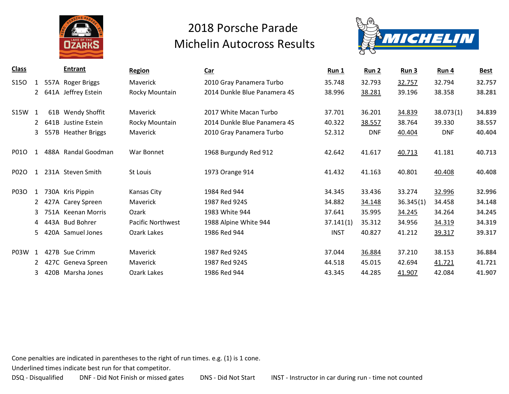



| <b>Class</b> |              |      | <b>Entrant</b>        | <b>Region</b>            | $Car$                        | Run 1       | <u>Run 2</u> | Run3      | Run 4      | <b>Best</b> |
|--------------|--------------|------|-----------------------|--------------------------|------------------------------|-------------|--------------|-----------|------------|-------------|
| <b>S150</b>  | 1            |      | 557A Roger Briggs     | Maverick                 | 2010 Gray Panamera Turbo     | 35.748      | 32.793       | 32.757    | 32.794     | 32.757      |
|              | $\mathbf{2}$ |      | 641A Jeffrey Estein   | Rocky Mountain           | 2014 Dunkle Blue Panamera 4S | 38.996      | 38.281       | 39.196    | 38.358     | 38.281      |
| <b>S15W</b>  | 1            | 61B  | <b>Wendy Shoffit</b>  | Maverick                 | 2017 White Macan Turbo       | 37.701      | 36.201       | 34.839    | 38.073(1)  | 34.839      |
|              | $\mathbf{2}$ | 641B | Justine Estein        | Rocky Mountain           | 2014 Dunkle Blue Panamera 4S | 40.322      | 38.557       | 38.764    | 39.330     | 38.557      |
|              | 3            | 557B | <b>Heather Briggs</b> | <b>Maverick</b>          | 2010 Gray Panamera Turbo     | 52.312      | <b>DNF</b>   | 40.404    | <b>DNF</b> | 40.404      |
| P010         | 1            |      | 488A Randal Goodman   | War Bonnet               | 1968 Burgundy Red 912        | 42.642      | 41.617       | 40.713    | 41.181     | 40.713      |
| P020         | 1            |      | 231A Steven Smith     | St Louis                 | 1973 Orange 914              | 41.432      | 41.163       | 40.801    | 40.408     | 40.408      |
| P03O         | 1            |      | 730A Kris Pippin      | Kansas City              | 1984 Red 944                 | 34.345      | 33.436       | 33.274    | 32.996     | 32.996      |
|              |              |      | 2 427A Carey Spreen   | Maverick                 | 1987 Red 924S                | 34.882      | 34.148       | 36.345(1) | 34.458     | 34.148      |
|              | 3            |      | 751A Keenan Morris    | Ozark                    | 1983 White 944               | 37.641      | 35.995       | 34.245    | 34.264     | 34.245      |
|              | 4            |      | 443A Bud Bohrer       | <b>Pacific Northwest</b> | 1988 Alpine White 944        | 37.141(1)   | 35.312       | 34.956    | 34.319     | 34.319      |
|              | 5.           |      | 420A Samuel Jones     | Ozark Lakes              | 1986 Red 944                 | <b>INST</b> | 40.827       | 41.212    | 39.317     | 39.317      |
| P03W 1       |              |      | 427B Sue Crimm        | Maverick                 | 1987 Red 924S                | 37.044      | 36.884       | 37.210    | 38.153     | 36.884      |
|              | $2^{\circ}$  |      | 427C Geneva Spreen    | Maverick                 | 1987 Red 924S                | 44.518      | 45.015       | 42.694    | 41.721     | 41.721      |
|              | 3            |      | 420B Marsha Jones     | Ozark Lakes              | 1986 Red 944                 | 43.345      | 44.285       | 41.907    | 42.084     | 41.907      |

Cone penalties are indicated in parentheses to the right of run times. e.g. (1) is 1 cone.

Underlined times indicate best run for that competitor.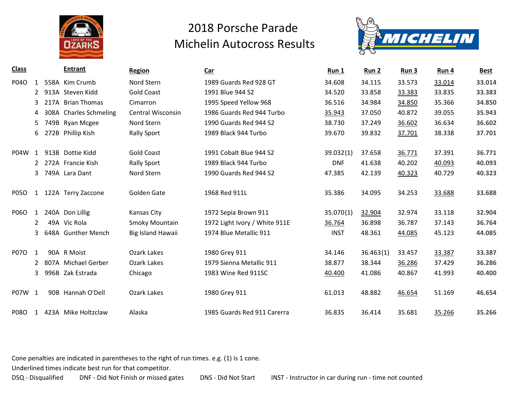



| <b>Class</b> |                | <b>Entrant</b>         | <b>Region</b>            | $Car$                         | Run 1       | Run 2     | Run 3  | Run 4  | <b>Best</b> |
|--------------|----------------|------------------------|--------------------------|-------------------------------|-------------|-----------|--------|--------|-------------|
| P04O         | $\mathbf{1}$   | 558A Kim Crumb         | Nord Stern               | 1989 Guards Red 928 GT        | 34.608      | 34.115    | 33.573 | 33.014 | 33.014      |
|              | $\mathbf{2}$   | 913A Steven Kidd       | <b>Gold Coast</b>        | 1991 Blue 944 S2              | 34.520      | 33.858    | 33.383 | 33.835 | 33.383      |
|              | 3              | 217A Brian Thomas      | Cimarron                 | 1995 Speed Yellow 968         | 36.516      | 34.984    | 34.850 | 35.366 | 34.850      |
|              | 4              | 308A Charles Schmeling | <b>Central Wisconsin</b> | 1986 Guards Red 944 Turbo     | 35.943      | 37.050    | 40.872 | 39.055 | 35.943      |
|              | 5              | 749B Ryan Mcgee        | Nord Stern               | 1990 Guards Red 944 S2        | 38.730      | 37.249    | 36.602 | 36.634 | 36.602      |
|              | 6.             | 272B Phillip Kish      | <b>Rally Sport</b>       | 1989 Black 944 Turbo          | 39.670      | 39.832    | 37.701 | 38.338 | 37.701      |
|              |                |                        |                          |                               |             |           |        |        |             |
| P04W         | 1              | 913B Dottie Kidd       | <b>Gold Coast</b>        | 1991 Cobalt Blue 944 S2       | 39.032(1)   | 37.658    | 36.771 | 37.391 | 36.771      |
|              |                | 2 272A Francie Kish    | <b>Rally Sport</b>       | 1989 Black 944 Turbo          | <b>DNF</b>  | 41.638    | 40.202 | 40.093 | 40.093      |
|              | 3              | 749A Lara Dant         | Nord Stern               | 1990 Guards Red 944 S2        | 47.385      | 42.139    | 40.323 | 40.729 | 40.323      |
|              |                |                        |                          |                               |             |           |        |        |             |
| <b>P050</b>  | 1              | 122A Terry Zaccone     | Golden Gate              | 1968 Red 911L                 | 35.386      | 34.095    | 34.253 | 33.688 | 33.688      |
|              |                |                        |                          |                               |             |           |        |        |             |
| <b>P06O</b>  | $\mathbf{1}$   | 240A Don Lillig        | Kansas City              | 1972 Sepia Brown 911          | 35.070(1)   | 32.904    | 32.974 | 33.118 | 32.904      |
|              | $\overline{2}$ | 49A Vic Rola           | Smoky Mountain           | 1972 Light Ivory / White 911E | 36.764      | 36.898    | 36.787 | 37.143 | 36.764      |
|              | 3              | 648A Gunther Mench     | Big Island Hawaii        | 1974 Blue Metallic 911        | <b>INST</b> | 48.361    | 44.085 | 45.123 | 44.085      |
|              |                |                        |                          |                               |             |           |        |        |             |
| <b>P070</b>  | 1              | 90A R Moist            | Ozark Lakes              | 1980 Grey 911                 | 34.146      | 36.463(1) | 33.457 | 33.387 | 33.387      |
|              | $\mathcal{L}$  | 807A Michael Gerber    | Ozark Lakes              | 1979 Sienna Metallic 911      | 38.877      | 38.344    | 36.286 | 37.429 | 36.286      |
|              | 3              | 996B Zak Estrada       | Chicago                  | 1983 Wine Red 911SC           | 40.400      | 41.086    | 40.867 | 41.993 | 40.400      |
|              |                |                        |                          |                               |             |           |        |        |             |
| P07W 1       |                | 90B Hannah O'Dell      | Ozark Lakes              | 1980 Grey 911                 | 61.013      | 48.882    | 46.654 | 51.169 | 46.654      |
|              |                |                        |                          |                               |             |           |        |        |             |
| <b>P080</b>  | 1              | 423A Mike Holtzclaw    | Alaska                   | 1985 Guards Red 911 Carerra   | 36.835      | 36.414    | 35.681 | 35.266 | 35.266      |

Cone penalties are indicated in parentheses to the right of run times. e.g. (1) is 1 cone.

Underlined times indicate best run for that competitor.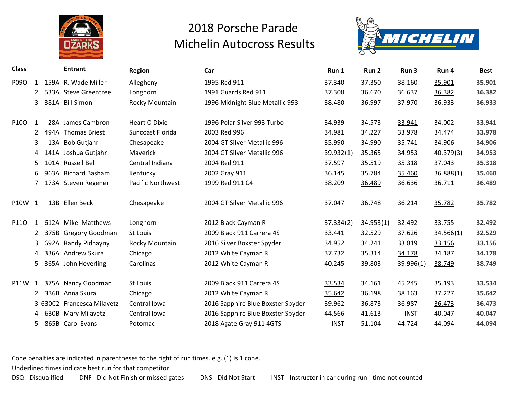



| <b>Class</b> |                | <b>Entrant</b>             | <b>Region</b>            | Car                               | Run 1       | Run 2     | Run 3       | Run 4     | <b>Best</b> |
|--------------|----------------|----------------------------|--------------------------|-----------------------------------|-------------|-----------|-------------|-----------|-------------|
| P09O         | 1              | 159A R. Wade Miller        | Allegheny                | 1995 Red 911                      | 37.340      | 37.350    | 38.160      | 35.901    | 35.901      |
|              | $2^{\circ}$    | 533A Steve Greentree       | Longhorn                 | 1991 Guards Red 911               | 37.308      | 36.670    | 36.637      | 36.382    | 36.382      |
|              | 3              | 381A Bill Simon            | Rocky Mountain           | 1996 Midnight Blue Metallic 993   | 38.480      | 36.997    | 37.970      | 36.933    | 36.933      |
|              |                |                            |                          |                                   |             |           |             |           |             |
| P100         | 1              | 28A James Cambron          | Heart O Dixie            | 1996 Polar Silver 993 Turbo       | 34.939      | 34.573    | 33.941      | 34.002    | 33.941      |
|              | $2^{\circ}$    | 494A Thomas Briest         | Suncoast Florida         | 2003 Red 996                      | 34.981      | 34.227    | 33.978      | 34.474    | 33.978      |
|              | 3              | 13A Bob Gutjahr            | Chesapeake               | 2004 GT Silver Metallic 996       | 35.990      | 34.990    | 35.741      | 34.906    | 34.906      |
|              | 4              | 141A Joshua Gutjahr        | Maverick                 | 2004 GT Silver Metallic 996       | 39.932(1)   | 35.365    | 34.953      | 40.379(3) | 34.953      |
|              | 5              | 101A Russell Bell          | Central Indiana          | 2004 Red 911                      | 37.597      | 35.519    | 35.318      | 37.043    | 35.318      |
|              | 6              | 963A Richard Basham        | Kentucky                 | 2002 Gray 911                     | 36.145      | 35.784    | 35.460      | 36.888(1) | 35.460      |
|              | $\overline{7}$ | 173A Steven Regener        | <b>Pacific Northwest</b> | 1999 Red 911 C4                   | 38.209      | 36.489    | 36.636      | 36.711    | 36.489      |
|              |                |                            |                          |                                   |             |           |             |           |             |
| P10W 1       |                | 13B Ellen Beck             | Chesapeake               | 2004 GT Silver Metallic 996       | 37.047      | 36.748    | 36.214      | 35.782    | 35.782      |
|              |                |                            |                          |                                   |             |           |             |           |             |
| P110         | $\mathbf{1}$   | 612A Mikel Matthews        | Longhorn                 | 2012 Black Cayman R               | 37.334(2)   | 34.953(1) | 32.492      | 33.755    | 32.492      |
|              |                | 2 375B Gregory Goodman     | St Louis                 | 2009 Black 911 Carrera 4S         | 33.441      | 32.529    | 37.626      | 34.566(1) | 32.529      |
|              | 3              | 692A Randy Pidhayny        | Rocky Mountain           | 2016 Silver Boxster Spyder        | 34.952      | 34.241    | 33.819      | 33.156    | 33.156      |
|              | 4              | 336A Andrew Skura          | Chicago                  | 2012 White Cayman R               | 37.732      | 35.314    | 34.178      | 34.187    | 34.178      |
|              | 5.             | 365A John Heverling        | Carolinas                | 2012 White Cayman R               | 40.245      | 39.803    | 39.996(1)   | 38.749    | 38.749      |
|              |                |                            |                          |                                   |             |           |             |           |             |
| <b>P11W</b>  | 1              | 375A Nancy Goodman         | St Louis                 | 2009 Black 911 Carrera 4S         | 33.534      | 34.161    | 45.245      | 35.193    | 33.534      |
|              |                | 2 336B Anna Skura          | Chicago                  | 2012 White Cayman R               | 35.642      | 36.198    | 38.163      | 37.227    | 35.642      |
|              |                | 3 630C2 Francesca Milavetz | Central Iowa             | 2016 Sapphire Blue Boxster Spyder | 39.962      | 36.873    | 36.987      | 36.473    | 36.473      |
|              | 4              | 630B Mary Milavetz         | Central Iowa             | 2016 Sapphire Blue Boxster Spyder | 44.566      | 41.613    | <b>INST</b> | 40.047    | 40.047      |
|              | 5.             | 865B Carol Evans           | Potomac                  | 2018 Agate Gray 911 4GTS          | <b>INST</b> | 51.104    | 44.724      | 44.094    | 44.094      |

Cone penalties are indicated in parentheses to the right of run times. e.g. (1) is 1 cone.

Underlined times indicate best run for that competitor.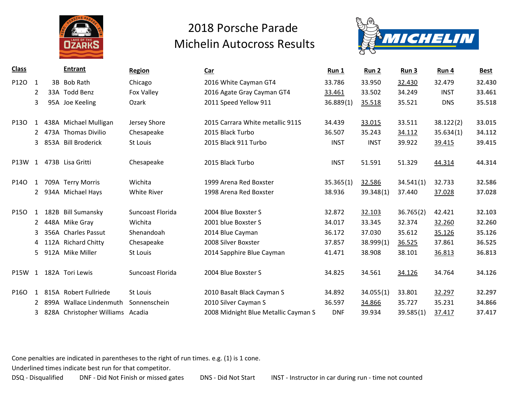



| <b>Class</b> |              | <b>Entrant</b>                   | <b>Region</b>      | Car                                  | Run 1       | Run 2       | Run 3     | Run 4       | <b>Best</b> |
|--------------|--------------|----------------------------------|--------------------|--------------------------------------|-------------|-------------|-----------|-------------|-------------|
| P120         | 1            | 3B Bob Rath                      | Chicago            | 2016 White Cayman GT4                | 33.786      | 33.950      | 32.430    | 32.479      | 32.430      |
|              | 2            | 33A Todd Benz                    | Fox Valley         | 2016 Agate Gray Cayman GT4           | 33.461      | 33.502      | 34.249    | <b>INST</b> | 33.461      |
|              | 3            | 95A Joe Keeling                  | Ozark              | 2011 Speed Yellow 911                | 36.889(1)   | 35.518      | 35.521    | <b>DNS</b>  | 35.518      |
|              |              |                                  |                    |                                      |             |             |           |             |             |
| P130         | 1            | 438A Michael Mulligan            | Jersey Shore       | 2015 Carrara White metallic 911S     | 34.439      | 33.015      | 33.511    | 38.122(2)   | 33.015      |
|              | 2            | 473A Thomas Divilio              | Chesapeake         | 2015 Black Turbo                     | 36.507      | 35.243      | 34.112    | 35.634(1)   | 34.112      |
|              | 3            | 853A Bill Broderick              | St Louis           | 2015 Black 911 Turbo                 | <b>INST</b> | <b>INST</b> | 39.922    | 39.415      | 39.415      |
|              |              |                                  |                    |                                      |             |             |           |             |             |
| P13W         | 1            | 473B Lisa Gritti                 | Chesapeake         | 2015 Black Turbo                     | <b>INST</b> | 51.591      | 51.329    | 44.314      | 44.314      |
|              |              |                                  |                    |                                      |             |             |           |             |             |
| P140         | $\mathbf{1}$ | 709A Terry Morris                | Wichita            | 1999 Arena Red Boxster               | 35.365(1)   | 32.586      | 34.541(1) | 32.733      | 32.586      |
|              |              | 2 934A Michael Hays              | <b>White River</b> | 1998 Arena Red Boxster               | 38.936      | 39.348(1)   | 37.440    | 37.028      | 37.028      |
|              |              |                                  |                    | 2004 Blue Boxster S                  |             |             |           |             |             |
| P150         | 1            | 182B Bill Sumansky               | Suncoast Florida   |                                      | 32.872      | 32.103      | 36.765(2) | 42.421      | 32.103      |
|              |              | 2 448A Mike Gray                 | Wichita            | 2001 blue Boxster S                  | 34.017      | 33.345      | 32.374    | 32.260      | 32.260      |
|              | 3            | 356A Charles Passut              | Shenandoah         | 2014 Blue Cayman                     | 36.172      | 37.030      | 35.612    | 35.126      | 35.126      |
|              | 4            | 112A Richard Chitty              | Chesapeake         | 2008 Silver Boxster                  | 37.857      | 38.999(1)   | 36.525    | 37.861      | 36.525      |
|              | 5.           | 912A Mike Miller                 | St Louis           | 2014 Sapphire Blue Cayman            | 41.471      | 38.908      | 38.101    | 36.813      | 36.813      |
|              |              |                                  |                    |                                      |             |             |           |             |             |
| P15W         | 1            | 182A Tori Lewis                  | Suncoast Florida   | 2004 Blue Boxster S                  | 34.825      | 34.561      | 34.126    | 34.764      | 34.126      |
|              |              |                                  |                    |                                      |             |             |           |             |             |
| P160         | 1            | 815A Robert Fullriede            | St Louis           | 2010 Basalt Black Cayman S           | 34.892      | 34.055(1)   | 33.801    | 32.297      | 32.297      |
|              |              | 2 899A Wallace Lindenmuth        | Sonnenschein       | 2010 Silver Cayman S                 | 36.597      | 34.866      | 35.727    | 35.231      | 34.866      |
|              | 3            | 828A Christopher Williams Acadia |                    | 2008 Midnight Blue Metallic Cayman S | <b>DNF</b>  | 39.934      | 39.585(1) | 37.417      | 37.417      |

Cone penalties are indicated in parentheses to the right of run times. e.g. (1) is 1 cone.

Underlined times indicate best run for that competitor.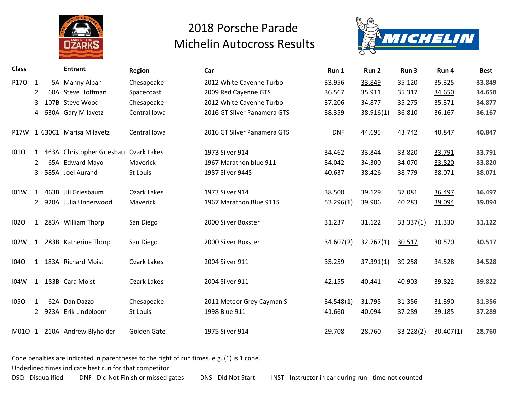



| <b>Class</b> |                |     | <b>Entrant</b>            | <b>Region</b> | <b>Car</b>                  | Run 1      | Run 2     | Run 3     | Run 4     | <b>Best</b> |
|--------------|----------------|-----|---------------------------|---------------|-----------------------------|------------|-----------|-----------|-----------|-------------|
| P170         | 1              |     | 5A Manny Alban            | Chesapeake    | 2012 White Cayenne Turbo    | 33.956     | 33.849    | 35.120    | 35.325    | 33.849      |
|              | $\overline{2}$ | 60A | Steve Hoffman             | Spacecoast    | 2009 Red Cayenne GTS        | 36.567     | 35.911    | 35.317    | 34.650    | 34.650      |
|              | 3              |     | 107B Steve Wood           | Chesapeake    | 2012 White Cayenne Turbo    | 37.206     | 34.877    | 35.275    | 35.371    | 34.877      |
|              | 4              |     | 630A Gary Milavetz        | Central Iowa  | 2016 GT Silver Panamera GTS | 38.359     | 38.916(1) | 36.810    | 36.167    | 36.167      |
| <b>P17W</b>  |                |     | 1 630C1 Marisa Milavetz   | Central Iowa  | 2016 GT Silver Panamera GTS | <b>DNF</b> | 44.695    | 43.742    | 40.847    | 40.847      |
| 1010         | 1              |     | 463A Christopher Griesbau | Ozark Lakes   | 1973 Silver 914             | 34.462     | 33.844    | 33.820    | 33.791    | 33.791      |
|              | $\overline{2}$ |     | 65A Edward Mayo           | Maverick      | 1967 Marathon blue 911      | 34.042     | 34.300    | 34.070    | 33.820    | 33.820      |
|              | 3              |     | 585A Joel Aurand          | St Louis      | 1987 Sliver 944S            | 40.637     | 38.426    | 38.779    | 38.071    | 38.071      |
| 101W         | 1              |     | 463B Jill Griesbaum       | Ozark Lakes   | 1973 Silver 914             | 38.500     | 39.129    | 37.081    | 36.497    | 36.497      |
|              | $\mathbf{2}$   |     | 920A Julia Underwood      | Maverick      | 1967 Marathon Blue 911S     | 53.296(1)  | 39.906    | 40.283    | 39.094    | 39.094      |
| 1020         |                |     | 1 283A William Thorp      | San Diego     | 2000 Silver Boxster         | 31.237     | 31.122    | 33.337(1) | 31.330    | 31.122      |
| 102W         | $\mathbf{1}$   |     | 283B Katherine Thorp      | San Diego     | 2000 Silver Boxster         | 34.607(2)  | 32.767(1) | 30.517    | 30.570    | 30.517      |
| <b>1040</b>  | $\mathbf{1}$   |     | 183A Richard Moist        | Ozark Lakes   | 2004 Silver 911             | 35.259     | 37.391(1) | 39.258    | 34.528    | 34.528      |
| <b>I04W</b>  | 1              |     | 183B Cara Moist           | Ozark Lakes   | 2004 Silver 911             | 42.155     | 40.441    | 40.903    | 39.822    | 39.822      |
| <b>1050</b>  | 1              |     | 62A Dan Dazzo             | Chesapeake    | 2011 Meteor Grey Cayman S   | 34.548(1)  | 31.795    | 31.356    | 31.390    | 31.356      |
|              | $\mathbf{2}$   |     | 923A Erik Lindbloom       | St Louis      | 1998 Blue 911               | 41.660     | 40.094    | 37.289    | 39.185    | 37.289      |
| M010 1       |                |     | 210A Andrew Blyholder     | Golden Gate   | 1975 Silver 914             | 29.708     | 28.760    | 33.228(2) | 30.407(1) | 28.760      |

Cone penalties are indicated in parentheses to the right of run times. e.g. (1) is 1 cone.

Underlined times indicate best run for that competitor.